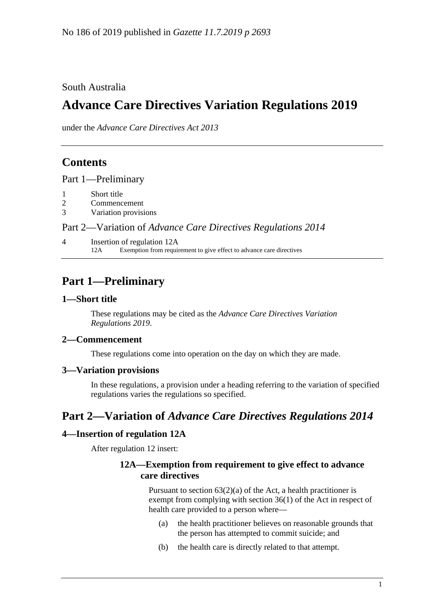South Australia

# **Advance Care Directives Variation Regulations 2019**

under the *Advance Care Directives Act 2013*

## **Contents**

Part [1—Preliminary](#page-0-0)

- 1 [Short title](#page-0-1)
- 2 [Commencement](#page-0-2)
- 3 [Variation provisions](#page-0-3)

## Part 2—Variation of *[Advance Care Directives Regulations](#page-0-4) 2014*

4 [Insertion of regulation 12A](#page-0-5) 12A Exemption from requirement to give effect to advance care directives

## <span id="page-0-0"></span>**Part 1—Preliminary**

### <span id="page-0-1"></span>**1—Short title**

These regulations may be cited as the *Advance Care Directives Variation Regulations 2019*.

## <span id="page-0-2"></span>**2—Commencement**

These regulations come into operation on the day on which they are made.

#### <span id="page-0-3"></span>**3—Variation provisions**

In these regulations, a provision under a heading referring to the variation of specified regulations varies the regulations so specified.

## <span id="page-0-4"></span>**Part 2—Variation of** *Advance Care Directives Regulations 2014*

## <span id="page-0-5"></span>**4—Insertion of regulation 12A**

After regulation 12 insert:

## **12A—Exemption from requirement to give effect to advance care directives**

Pursuant to section  $63(2)(a)$  of the Act, a health practitioner is exempt from complying with section 36(1) of the Act in respect of health care provided to a person where—

- (a) the health practitioner believes on reasonable grounds that the person has attempted to commit suicide; and
- (b) the health care is directly related to that attempt.